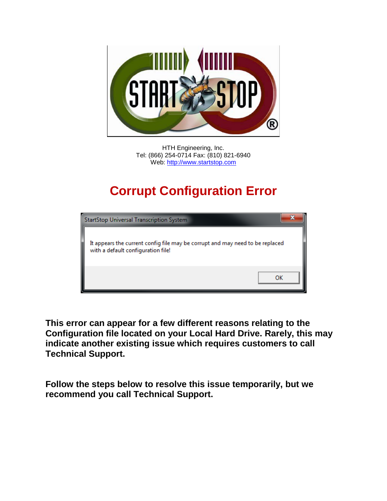

HTH Engineering, Inc. Tel: (866) 254-0714 Fax: (810) 821-6940 Web: [http://www.startstop.com](http://www.startstop.com/)

## **Corrupt Configuration Error**

| <b>StartStop Universal Transcription System</b>                                                                     |  |
|---------------------------------------------------------------------------------------------------------------------|--|
| It appears the current config file may be corrupt and may need to be replaced<br>with a default configuration file! |  |
|                                                                                                                     |  |

**This error can appear for a few different reasons relating to the Configuration file located on your Local Hard Drive. Rarely, this may indicate another existing issue which requires customers to call Technical Support.**

**Follow the steps below to resolve this issue temporarily, but we recommend you call Technical Support.**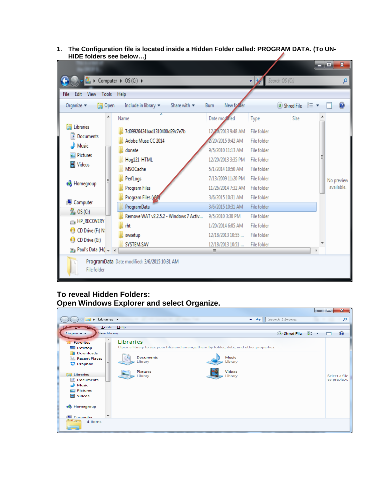**1. The Configuration file is located inside a Hidden Folder called: PROGRAM DATA. (To UN-HIDE folders see below…)**

|                                                                              |                      |  |                                                                            |                                       |                     |                | أكريها | $\mathbf{x}$ |  |
|------------------------------------------------------------------------------|----------------------|--|----------------------------------------------------------------------------|---------------------------------------|---------------------|----------------|--------|--------------|--|
|                                                                              |                      |  | Computer ▶ OS (C:) ▶                                                       |                                       | M<br>$\mathbf{v}$ . | Search OS (C:) |        | ۹            |  |
| Edit<br>View<br>File                                                         | <b>Tools</b><br>Help |  |                                                                            |                                       |                     |                |        |              |  |
| <b>D</b> Open<br>Organize $\blacktriangledown$                               |                      |  | Include in library $\blacktriangledown$<br>Share with $\blacktriangledown$ | Burn<br>New forder                    |                     | (U) Shred File | 肛      |              |  |
|                                                                              | ▲                    |  | y<br>Name                                                                  | Date mornied                          | Type                | Size           |        |              |  |
| Libraries                                                                    |                      |  | 7d09926424bad1310400d29c7e7b                                               | 12/20/2013 9:48 AM                    | File folder         |                |        |              |  |
| Documents                                                                    |                      |  | Adobe Muse CC 2014                                                         | /20/2015 9:42 AM                      | File folder         |                |        |              |  |
| Music                                                                        | Ξ                    |  | donate                                                                     | 9/5/2010 11:13 AM                     | File folder         |                |        |              |  |
| Pictures<br>Videos<br>Ħ<br><b>R</b> Homegroup                                |                      |  | Hog121-HTML                                                                | 12/20/2013 3:35 PM                    | File folder         |                |        |              |  |
|                                                                              |                      |  | <b>MSOCache</b>                                                            | 5/1/2014 10:50 AM                     | File folder         |                |        |              |  |
|                                                                              |                      |  | PerfLogs                                                                   | 7/13/2009 11:20 PM                    | File folder         |                |        | No preview   |  |
|                                                                              |                      |  | <b>Program Files</b>                                                       | 11/26/2014 7:32 AM                    | File folder         |                |        | available.   |  |
| Computer                                                                     |                      |  | Program Files (x86                                                         | 3/6/2015 10:31 AM                     | File folder         |                |        |              |  |
| $\frac{1}{N}$ OS (C:)                                                        |                      |  | ProgramData                                                                | 3/6/2015 10:31 AM                     | File folder         |                |        |              |  |
| HP_RECOVERY                                                                  |                      |  |                                                                            | Remove WAT v2.2.5.2 - Windows 7 Activ | 9/5/2010 3:30 PM    | File folder    |        |              |  |
| ø<br>CD Drive (F:) N!                                                        |                      |  | rht                                                                        | 1/20/2014 6:05 AM                     | File folder         |                |        |              |  |
| CD Drive (G:)<br>Ø.                                                          |                      |  | swsetup                                                                    | 12/18/2013 10:55                      | File folder         |                |        |              |  |
| $\overline{m}_{\overline{m}}$ Paul's Data (H:) $\overline{m}_{\overline{n}}$ |                      |  | SYSTEM.SAV                                                                 | 12/18/2013 10:51<br>m,                | File folder         |                |        |              |  |
|                                                                              |                      |  |                                                                            |                                       |                     |                |        |              |  |
| ProgramData Date modified: 3/6/2015 10:31 AM<br>File folder                  |                      |  |                                                                            |                                       |                     |                |        |              |  |

## **To reveal Hidden Folders: Open Windows Explorer and select Organize.**

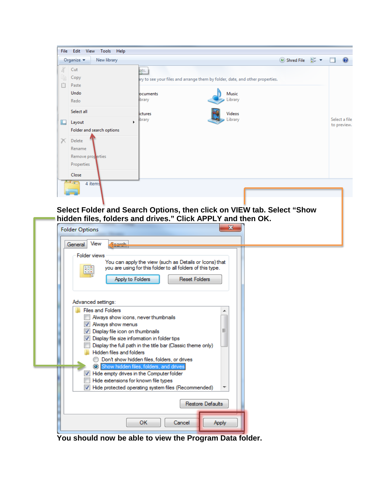

**Select Folder and Search Options, then click on VIEW tab. Select "Show hidden files, folders and drives." Click APPLY and then OK.**

| <b>Folder Options</b><br>View<br>General                                                                                                                                                                                                                                                                                                                                                                     |  |
|--------------------------------------------------------------------------------------------------------------------------------------------------------------------------------------------------------------------------------------------------------------------------------------------------------------------------------------------------------------------------------------------------------------|--|
| <b>Folder views</b><br>You can apply the view (such as Details or Icons) that<br>you are using for this folder to all folders of this type.<br>₩<br>Apply to Folders<br><b>Reset Folders</b>                                                                                                                                                                                                                 |  |
| Advanced settings:                                                                                                                                                                                                                                                                                                                                                                                           |  |
| <b>Files and Folders</b><br>Always show icons, never thumbnails<br>Always show menus<br>Ξ<br>Display file icon on thumbnails<br>Display file size information in folder tips<br>Display the full path in the title bar (Classic theme only)<br>Hidden files and folders<br>Don't show hidden files, folders, or drives<br>Show hidden files, folders, and drives<br>Hide empty drives in the Computer folder |  |
| Hide extensions for known file types<br>Hide protected operating system files (Recommended)                                                                                                                                                                                                                                                                                                                  |  |
| <b>Restore Defaults</b>                                                                                                                                                                                                                                                                                                                                                                                      |  |
| <b>OK</b><br>Cancel<br>Apply                                                                                                                                                                                                                                                                                                                                                                                 |  |

**You should now be able to view the Program Data folder.**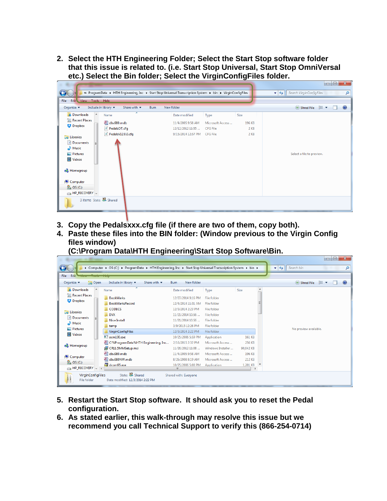**2. Select the HTH Engineering Folder; Select the Start Stop software folder that this issue is related to. (i.e. Start Stop Universal, Start Stop OmniVersal etc.) Select the Bin folder; Select the VirginConfigFiles folder.**

| $\begin{array}{c c c c c} \hline \multicolumn{3}{c }{\textbf{0}} & \multicolumn{3}{c }{\textbf{0}} \end{array}$<br>$\mathbf{x}$<br>« ProgramData > HTH Engineering, Inc > Start Stop Universal Transcription System > bin > VirginConfigFiles<br>Search VirginConfigFiles<br>$\mathbf{v}$ $\mathbf{t}$<br>م<br>Edit View Tools Help<br>File |                                                                                   |                                                  |                                |                                                                                               |  |  |
|---------------------------------------------------------------------------------------------------------------------------------------------------------------------------------------------------------------------------------------------------------------------------------------------------------------------------------------------|-----------------------------------------------------------------------------------|--------------------------------------------------|--------------------------------|-----------------------------------------------------------------------------------------------|--|--|
| Organize $\blacktriangledown$<br>Include in library $\blacktriangledown$                                                                                                                                                                                                                                                                    | Share with $\blacktriangledown$<br>New folder<br><b>Burn</b>                      |                                                  |                                | $\bullet$<br>$\overline{u}$ Shred File $\overline{u}$ $\overline{u}$ $\overline{u}$<br>$\Box$ |  |  |
| <b>Downloads</b><br>$\blacktriangle$<br>Name<br>Recent Places<br>dbv980.mdb<br><b>Dropbox</b><br>PedalsOT.cfg<br>PedalsV12.0.0.cfg<br><b>Exploration</b><br>Documents<br>Music<br>Pictures<br><b>M</b> Videos<br><b>&amp;</b> Homegroup                                                                                                     | ≖<br>Date modified<br>11/4/2005 9:58 AM<br>12/12/2012 11:55<br>9/15/2014 12:57 PM | Type<br>Microsoft Access<br>CFG File<br>CFG File | Size<br>196 KB<br>2 KB<br>2 KB | Select a file to preview.                                                                     |  |  |
| Computer<br>$\frac{1}{N}$ OS (C:)<br>$\bigoplus$ HP_RECOVERY $\bigtriangledown$<br>3 items State: 3 Shared                                                                                                                                                                                                                                  |                                                                                   |                                                  |                                |                                                                                               |  |  |

- **3. Copy the Pedalsxxx.cfg file (if there are two of them, copy both).**
- **4. Paste these files into the BIN folder: (Window previous to the Virgin Config files window)**

**(C:\Program Data\HTH Engineering\Start Stop Software\Bin.**

|                                                                                                               |                                                                            |                           |                   |           |  | $-\mathbf{x}$                                                   |  |  |
|---------------------------------------------------------------------------------------------------------------|----------------------------------------------------------------------------|---------------------------|-------------------|-----------|--|-----------------------------------------------------------------|--|--|
| > Computer > OS (C:) > ProgramData > HTH Engineering, Inc > Start Stop Universal Transcription System > bin > |                                                                            |                           |                   |           |  | $\mathbf{v}$ $\mathbf{t}$<br>Search bin<br>م                    |  |  |
| View Tools Help<br>Edit<br><b>File</b>                                                                        |                                                                            |                           |                   |           |  |                                                                 |  |  |
| Open<br>Organize $\blacktriangledown$                                                                         | Include in library $\blacktriangledown$<br>Share with $\blacktriangledown$ | New folder<br><b>Burn</b> |                   |           |  | $\circledcirc$<br>$\overline{u}$ Shred File $\overline{v}$<br>n |  |  |
| <b>La</b> Downloads                                                                                           | Name                                                                       | Date modified             | Type              | Size      |  |                                                                 |  |  |
| Recent Places                                                                                                 | <b>BookMarks</b>                                                           | 12/27/2014 9:16 PM        | File folder       |           |  |                                                                 |  |  |
| Dropbox                                                                                                       | <b>BookMarksRecord</b>                                                     | 12/4/2014 11:31 AM        | File folder       |           |  |                                                                 |  |  |
| <b>Libraries</b><br>m<br>Documents<br>Music<br>Pictures                                                       | <b>CODECS</b>                                                              | 12/3/2014 2:23 PM         | File folder       |           |  |                                                                 |  |  |
|                                                                                                               | <b>DVX</b>                                                                 | 11/21/2014 10:56          | File folder       |           |  |                                                                 |  |  |
|                                                                                                               | <b>Nice Install</b>                                                        | 11/21/2014 10:56          | File folder       |           |  |                                                                 |  |  |
|                                                                                                               | temp                                                                       | 3/9/2015 12:26 PM         | File folder       |           |  |                                                                 |  |  |
|                                                                                                               | <b>VirginConfigFiles</b>                                                   | 12/3/2014 2:22 PM         | File folder       |           |  | No preview available.                                           |  |  |
| Videos                                                                                                        | $\blacksquare$ acm100.exe                                                  | 10/25/2006 5:59 PM        | Application       | 161 KB    |  |                                                                 |  |  |
| <b>&amp;</b> Homegroup                                                                                        | 인 C!%ProgramData%HTH Engineering, Inc                                      | 2/16/2015 2:32 PM         | Microsoft Access  | 256 KB    |  |                                                                 |  |  |
|                                                                                                               | CR11.5MMSetup.msi                                                          | 11/26/2012 11:08          | Windows Installer | 90,042 KB |  |                                                                 |  |  |
| لتيال                                                                                                         | dbv980.mdb                                                                 | 11/4/2005 9:58 AM         | Microsoft Access  | 196 KB    |  |                                                                 |  |  |
| Computer<br>$\mathbb{R}$ OS (C:)                                                                              | dbv980NW.mdb                                                               | 8/26/2008 8:19 AM         | Microsoft Access  | 212 KB    |  |                                                                 |  |  |
| $\Box$ HP_RECOVERY $\div$ 4                                                                                   | dcom95.exe                                                                 | 10/25/2006 5:00 PM<br>m.  | Application       | 1,201 KB  |  |                                                                 |  |  |
| VirginConfigFiles<br>File folder                                                                              | State: <b>33</b> Shared<br>Date modified: 12/3/2014 2:22 PM                | Shared with: Everyone     |                   |           |  |                                                                 |  |  |

- **5. Restart the Start Stop software. It should ask you to reset the Pedal configuration.**
- **6. As stated earlier, this walk-through may resolve this issue but we recommend you call Technical Support to verify this (866-254-0714)**